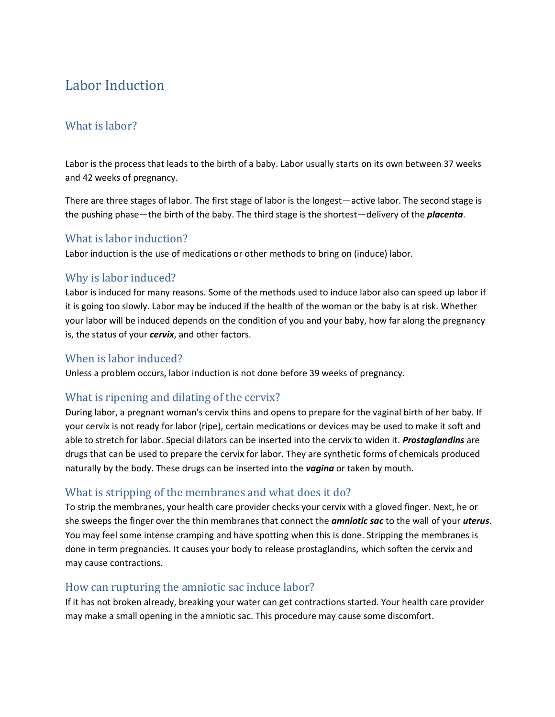# Labor Induction

## What is labor?

Labor is the process that leads to the birth of a baby. Labor usually starts on its own between 37 weeks and 42 weeks of pregnancy.

There are three stages of labor. The first stage of labor is the longest—active labor. The second stage is the pushing phase—the birth of the baby. The third stage is the shortest—delivery of the *placenta*.

#### What is labor induction?

Labor induction is the use of medications or other methods to bring on (induce) labor.

#### Why is labor induced?

Labor is induced for many reasons. Some of the methods used to induce labor also can speed up labor if it is going too slowly. Labor may be induced if the health of the woman or the baby is at risk. Whether your labor will be induced depends on the condition of you and your baby, how far along the pregnancy is, the status of your *cervix*, and other factors.

#### When is labor induced?

Unless a problem occurs, labor induction is not done before 39 weeks of pregnancy.

#### What is ripening and dilating of the cervix?

During labor, a pregnant woman's cervix thins and opens to prepare for the vaginal birth of her baby. If your cervix is not ready for labor (ripe), certain medications or devices may be used to make it soft and able to stretch for labor. Special dilators can be inserted into the cervix to widen it. *Prostaglandins* are drugs that can be used to prepare the cervix for labor. They are synthetic forms of chemicals produced naturally by the body. These drugs can be inserted into the *vagina* or taken by mouth.

#### What is stripping of the membranes and what does it do?

To strip the membranes, your health care provider checks your cervix with a gloved finger. Next, he or she sweeps the finger over the thin membranes that connect the *amniotic sac* to the wall of your *uterus*. You may feel some intense cramping and have spotting when this is done. Stripping the membranes is done in term pregnancies. It causes your body to release prostaglandins, which soften the cervix and may cause contractions.

#### How can rupturing the amniotic sac induce labor?

If it has not broken already, breaking your water can get contractions started. Your health care provider may make a small opening in the amniotic sac. This procedure may cause some discomfort.